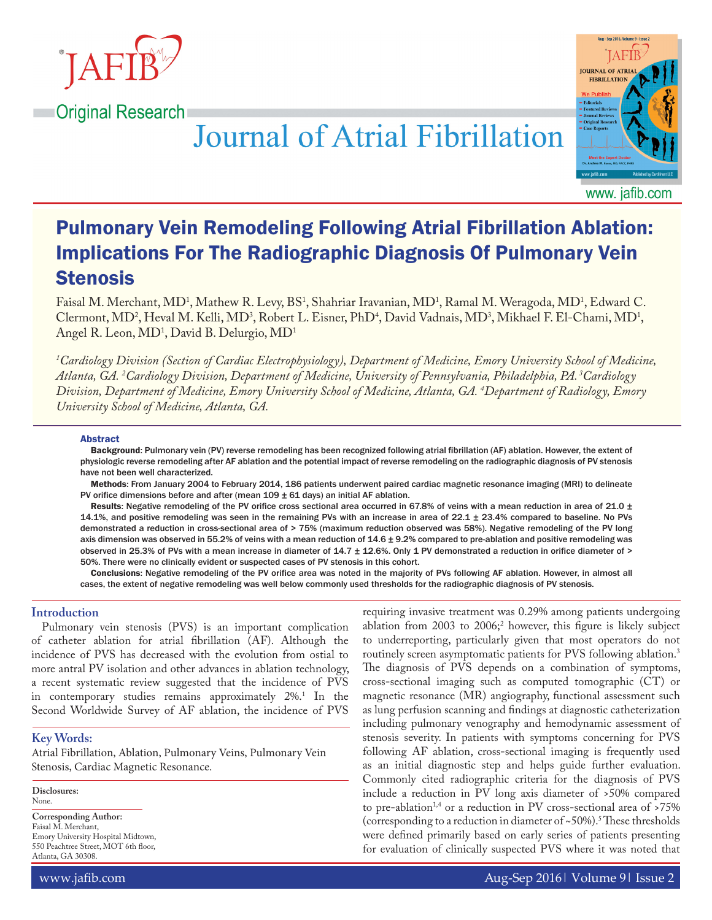

**Original Research** 

**Journal of Atrial Fibrillation** 



Pulmonary Vein Remodeling Following Atrial Fibrillation Ablation: Implications For The Radiographic Diagnosis Of Pulmonary Vein Stenosis

Faisal M. Merchant, MD<sup>1</sup>, Mathew R. Levy, BS<sup>1</sup>, Shahriar Iravanian, MD<sup>1</sup>, Ramal M. Weragoda, MD<sup>1</sup>, Edward C. Clermont, MD<sup>2</sup>, Heval M. Kelli, MD<sup>3</sup>, Robert L. Eisner, PhD<sup>4</sup>, David Vadnais, MD<sup>3</sup>, Mikhael F. El-Chami, MD<sup>1</sup>, Angel R. Leon, MD<sup>1</sup>, David B. Delurgio, MD<sup>1</sup>

*1 Cardiology Division (Section of Cardiac Electrophysiology), Department of Medicine, Emory University School of Medicine, Atlanta, GA. 2 Cardiology Division, Department of Medicine, University of Pennsylvania, Philadelphia, PA. 3Cardiology Division, Department of Medicine, Emory University School of Medicine, Atlanta, GA. 4 Department of Radiology, Emory University School of Medicine, Atlanta, GA.*

#### Abstract

Background: Pulmonary vein (PV) reverse remodeling has been recognized following atrial fibrillation (AF) ablation. However, the extent of physiologic reverse remodeling after AF ablation and the potential impact of reverse remodeling on the radiographic diagnosis of PV stenosis have not been well characterized.

Methods: From January 2004 to February 2014, 186 patients underwent paired cardiac magnetic resonance imaging (MRI) to delineate PV orifice dimensions before and after (mean  $109 \pm 61$  days) an initial AF ablation.

Results: Negative remodeling of the PV orifice cross sectional area occurred in 67.8% of veins with a mean reduction in area of 21.0  $\pm$ 14.1%, and positive remodeling was seen in the remaining PVs with an increase in area of 22.1 ± 23.4% compared to baseline. No PVs demonstrated a reduction in cross-sectional area of > 75% (maximum reduction observed was 58%). Negative remodeling of the PV long axis dimension was observed in 55.2% of veins with a mean reduction of 14.6 ± 9.2% compared to pre-ablation and positive remodeling was observed in 25.3% of PVs with a mean increase in diameter of 14.7 ± 12.6%. Only 1 PV demonstrated a reduction in orifice diameter of > 50%. There were no clinically evident or suspected cases of PV stenosis in this cohort.

Conclusions: Negative remodeling of the PV orifice area was noted in the majority of PVs following AF ablation. However, in almost all cases, the extent of negative remodeling was well below commonly used thresholds for the radiographic diagnosis of PV stenosis.

# **Introduction**

Pulmonary vein stenosis (PVS) is an important complication of catheter ablation for atrial fibrillation (AF). Although the incidence of PVS has decreased with the evolution from ostial to more antral PV isolation and other advances in ablation technology, a recent systematic review suggested that the incidence of PVS in contemporary studies remains approximately 2%.1 In the Second Worldwide Survey of AF ablation, the incidence of PVS

## **Key Words:**

Atrial Fibrillation, Ablation, Pulmonary Veins, Pulmonary Vein Stenosis, Cardiac Magnetic Resonance.

**Disclosures:** None.

**Corresponding Author:** Faisal M. Merchant, Emory University Hospital Midtown, 550 Peachtree Street, MOT 6th floor, Atlanta, GA 30308.

requiring invasive treatment was 0.29% among patients undergoing ablation from 2003 to 2006;<sup>2</sup> however, this figure is likely subject to underreporting, particularly given that most operators do not routinely screen asymptomatic patients for PVS following ablation.<sup>3</sup> The diagnosis of PVS depends on a combination of symptoms, cross-sectional imaging such as computed tomographic (CT) or magnetic resonance (MR) angiography, functional assessment such as lung perfusion scanning and findings at diagnostic catheterization including pulmonary venography and hemodynamic assessment of stenosis severity. In patients with symptoms concerning for PVS following AF ablation, cross-sectional imaging is frequently used as an initial diagnostic step and helps guide further evaluation. Commonly cited radiographic criteria for the diagnosis of PVS include a reduction in PV long axis diameter of >50% compared to pre-ablation<sup>1,4</sup> or a reduction in PV cross-sectional area of >75% (corresponding to a reduction in diameter of ~50%).<sup>5</sup> These thresholds were defined primarily based on early series of patients presenting for evaluation of clinically suspected PVS where it was noted that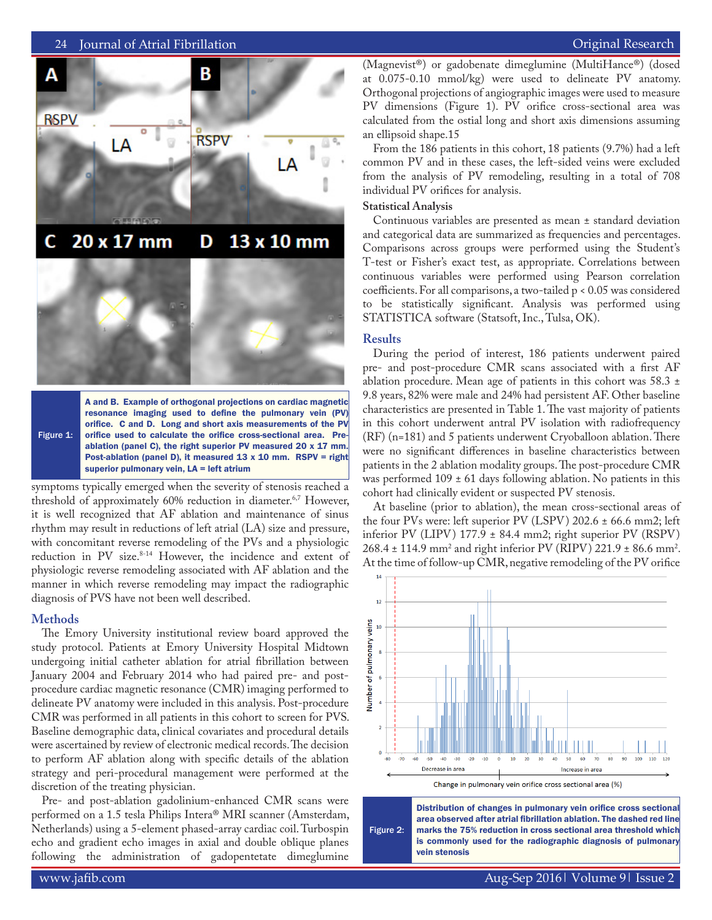

Figure 1: A and B. Example of orthogonal projections on cardiac magnetic resonance imaging used to define the pulmonary vein (PV) orifice. C and D. Long and short axis measurements of the PV orifice used to calculate the orifice cross-sectional area. Preablation (panel C), the right superior PV measured 20 x 17 mm. Post-ablation (panel D), it measured  $13 \times 10$  mm. RSPV = right superior pulmonary vein, LA = left atrium

symptoms typically emerged when the severity of stenosis reached a threshold of approximately 60% reduction in diameter.<sup>6,7</sup> However, it is well recognized that AF ablation and maintenance of sinus rhythm may result in reductions of left atrial (LA) size and pressure, with concomitant reverse remodeling of the PVs and a physiologic reduction in PV size.<sup>8-14</sup> However, the incidence and extent of physiologic reverse remodeling associated with AF ablation and the manner in which reverse remodeling may impact the radiographic diagnosis of PVS have not been well described.

## **Methods**

The Emory University institutional review board approved the study protocol. Patients at Emory University Hospital Midtown undergoing initial catheter ablation for atrial fibrillation between January 2004 and February 2014 who had paired pre- and postprocedure cardiac magnetic resonance (CMR) imaging performed to delineate PV anatomy were included in this analysis. Post-procedure CMR was performed in all patients in this cohort to screen for PVS. Baseline demographic data, clinical covariates and procedural details were ascertained by review of electronic medical records. The decision to perform AF ablation along with specific details of the ablation strategy and peri-procedural management were performed at the discretion of the treating physician.

Pre- and post-ablation gadolinium-enhanced CMR scans were performed on a 1.5 tesla Philips Intera® MRI scanner (Amsterdam, Netherlands) using a 5-element phased-array cardiac coil. Turbospin echo and gradient echo images in axial and double oblique planes following the administration of gadopentetate dimeglumine

(Magnevist®) or gadobenate dimeglumine (MultiHance®) (dosed at 0.075-0.10 mmol/kg) were used to delineate PV anatomy. Orthogonal projections of angiographic images were used to measure PV dimensions (Figure 1). PV orifice cross-sectional area was calculated from the ostial long and short axis dimensions assuming an ellipsoid shape.15

From the 186 patients in this cohort, 18 patients (9.7%) had a left common PV and in these cases, the left-sided veins were excluded from the analysis of PV remodeling, resulting in a total of 708 individual PV orifices for analysis.

### **Statistical Analysis**

Continuous variables are presented as mean ± standard deviation and categorical data are summarized as frequencies and percentages. Comparisons across groups were performed using the Student's T-test or Fisher's exact test, as appropriate. Correlations between continuous variables were performed using Pearson correlation coefficients. For all comparisons, a two-tailed p < 0.05 was considered to be statistically significant. Analysis was performed using STATISTICA software (Statsoft, Inc., Tulsa, OK).

#### **Results**

During the period of interest, 186 patients underwent paired pre- and post-procedure CMR scans associated with a first AF ablation procedure. Mean age of patients in this cohort was 58.3 ± 9.8 years, 82% were male and 24% had persistent AF. Other baseline characteristics are presented in Table 1. The vast majority of patients in this cohort underwent antral PV isolation with radiofrequency (RF) (n=181) and 5 patients underwent Cryoballoon ablation. There were no significant differences in baseline characteristics between patients in the 2 ablation modality groups. The post-procedure CMR was performed  $109 \pm 61$  days following ablation. No patients in this cohort had clinically evident or suspected PV stenosis.

At baseline (prior to ablation), the mean cross-sectional areas of the four PVs were: left superior PV (LSPV) 202.6 ± 66.6 mm2; left inferior PV (LIPV) 177.9 ± 84.4 mm2; right superior PV (RSPV)  $268.4 \pm 114.9 \text{ mm}^2$  and right inferior PV (RIPV) 221.9  $\pm$  86.6 mm<sup>2</sup>. At the time of follow-up CMR, negative remodeling of the PV orifice



Figure 2: Distribution of changes in pulmonary vein orifice cross sectional area observed after atrial fibrillation ablation. The dashed red line marks the 75% reduction in cross sectional area threshold which is commonly used for the radiographic diagnosis of pulmonary vein stenosis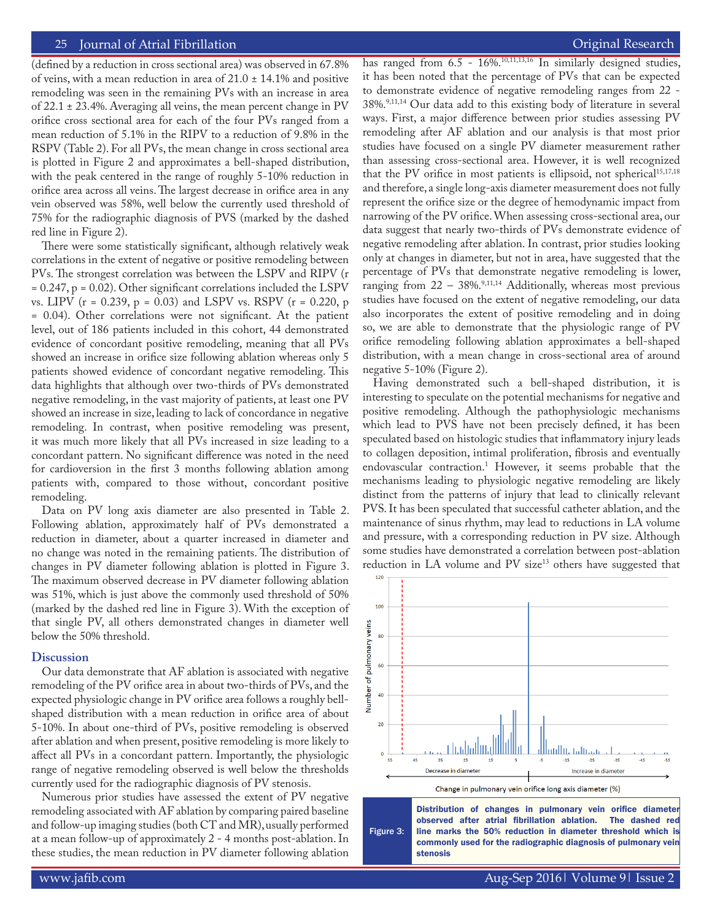(defined by a reduction in cross sectional area) was observed in 67.8% of veins, with a mean reduction in area of  $21.0 \pm 14.1\%$  and positive remodeling was seen in the remaining PVs with an increase in area of 22.1 ± 23.4%. Averaging all veins, the mean percent change in PV orifice cross sectional area for each of the four PVs ranged from a mean reduction of 5.1% in the RIPV to a reduction of 9.8% in the RSPV (Table 2). For all PVs, the mean change in cross sectional area is plotted in Figure 2 and approximates a bell-shaped distribution, with the peak centered in the range of roughly 5-10% reduction in orifice area across all veins. The largest decrease in orifice area in any vein observed was 58%, well below the currently used threshold of 75% for the radiographic diagnosis of PVS (marked by the dashed red line in Figure 2).

There were some statistically significant, although relatively weak correlations in the extent of negative or positive remodeling between PVs. The strongest correlation was between the LSPV and RIPV (r  $= 0.247$ ,  $p = 0.02$ ). Other significant correlations included the LSPV vs. LIPV (r = 0.239, p = 0.03) and LSPV vs. RSPV (r = 0.220, p = 0.04). Other correlations were not significant. At the patient level, out of 186 patients included in this cohort, 44 demonstrated evidence of concordant positive remodeling, meaning that all PVs showed an increase in orifice size following ablation whereas only 5 patients showed evidence of concordant negative remodeling. This data highlights that although over two-thirds of PVs demonstrated negative remodeling, in the vast majority of patients, at least one PV showed an increase in size, leading to lack of concordance in negative remodeling. In contrast, when positive remodeling was present, it was much more likely that all PVs increased in size leading to a concordant pattern. No significant difference was noted in the need for cardioversion in the first 3 months following ablation among patients with, compared to those without, concordant positive remodeling.

Data on PV long axis diameter are also presented in Table 2. Following ablation, approximately half of PVs demonstrated a reduction in diameter, about a quarter increased in diameter and no change was noted in the remaining patients. The distribution of changes in PV diameter following ablation is plotted in Figure 3. The maximum observed decrease in PV diameter following ablation was 51%, which is just above the commonly used threshold of 50% (marked by the dashed red line in Figure 3). With the exception of that single PV, all others demonstrated changes in diameter well below the 50% threshold.

### **Discussion**

Our data demonstrate that AF ablation is associated with negative remodeling of the PV orifice area in about two-thirds of PVs, and the expected physiologic change in PV orifice area follows a roughly bellshaped distribution with a mean reduction in orifice area of about 5-10%. In about one-third of PVs, positive remodeling is observed after ablation and when present, positive remodeling is more likely to affect all PVs in a concordant pattern. Importantly, the physiologic range of negative remodeling observed is well below the thresholds currently used for the radiographic diagnosis of PV stenosis.

Numerous prior studies have assessed the extent of PV negative remodeling associated with AF ablation by comparing paired baseline and follow-up imaging studies (both CT and MR), usually performed at a mean follow-up of approximately 2 - 4 months post-ablation. In these studies, the mean reduction in PV diameter following ablation has ranged from 6.5 - 16%.<sup>10,11,13,16</sup> In similarly designed studies, it has been noted that the percentage of PVs that can be expected to demonstrate evidence of negative remodeling ranges from 22 - 38%.9,11,14 Our data add to this existing body of literature in several ways. First, a major difference between prior studies assessing PV remodeling after AF ablation and our analysis is that most prior studies have focused on a single PV diameter measurement rather than assessing cross-sectional area. However, it is well recognized that the PV orifice in most patients is ellipsoid, not spherical<sup>15,17,18</sup> and therefore, a single long-axis diameter measurement does not fully represent the orifice size or the degree of hemodynamic impact from narrowing of the PV orifice. When assessing cross-sectional area, our data suggest that nearly two-thirds of PVs demonstrate evidence of negative remodeling after ablation. In contrast, prior studies looking only at changes in diameter, but not in area, have suggested that the percentage of PVs that demonstrate negative remodeling is lower, ranging from  $22 - 38\%$ ,  $9,11,14$  Additionally, whereas most previous studies have focused on the extent of negative remodeling, our data also incorporates the extent of positive remodeling and in doing so, we are able to demonstrate that the physiologic range of PV orifice remodeling following ablation approximates a bell-shaped distribution, with a mean change in cross-sectional area of around negative 5-10% (Figure 2).

Having demonstrated such a bell-shaped distribution, it is interesting to speculate on the potential mechanisms for negative and positive remodeling. Although the pathophysiologic mechanisms which lead to PVS have not been precisely defined, it has been speculated based on histologic studies that inflammatory injury leads to collagen deposition, intimal proliferation, fibrosis and eventually endovascular contraction.1 However, it seems probable that the mechanisms leading to physiologic negative remodeling are likely distinct from the patterns of injury that lead to clinically relevant PVS. It has been speculated that successful catheter ablation, and the maintenance of sinus rhythm, may lead to reductions in LA volume and pressure, with a corresponding reduction in PV size. Although some studies have demonstrated a correlation between post-ablation reduction in LA volume and PV size<sup>13</sup> others have suggested that



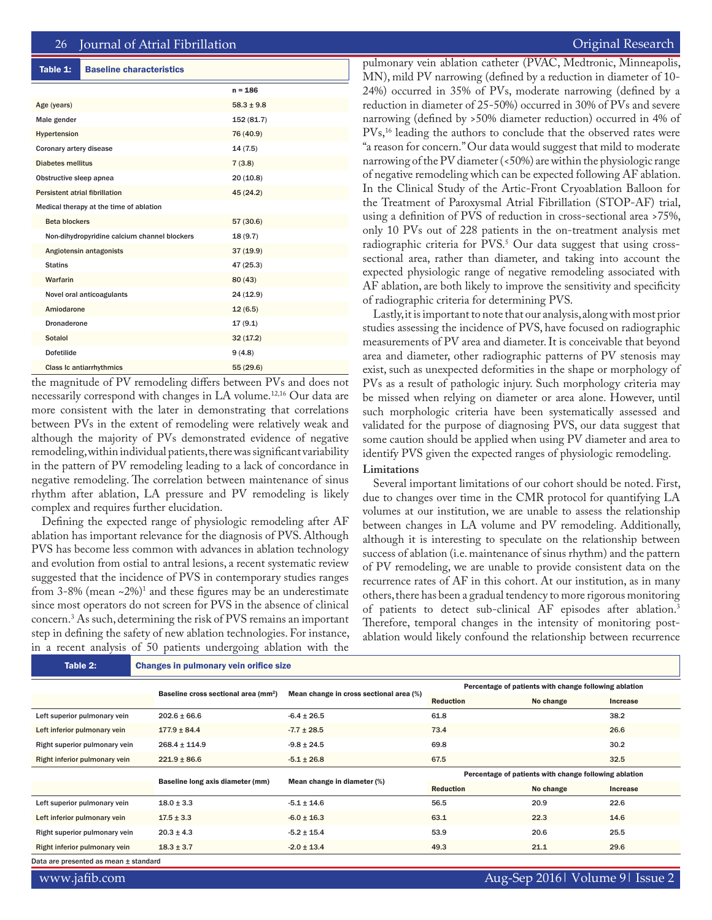#### Table 1: Baseline characteristics

|                                              | $n = 186$      |
|----------------------------------------------|----------------|
| Age (years)                                  | $58.3 \pm 9.8$ |
| Male gender                                  | 152 (81.7)     |
| Hypertension                                 | 76 (40.9)      |
| Coronary artery disease                      | 14(7.5)        |
| <b>Diabetes mellitus</b>                     | 7(3.8)         |
| Obstructive sleep apnea                      | 20(10.8)       |
| Persistent atrial fibrillation               | 45 (24.2)      |
| Medical therapy at the time of ablation      |                |
| <b>Beta blockers</b>                         | 57 (30.6)      |
| Non-dihydropyridine calcium channel blockers | 18(9.7)        |
| Angiotensin antagonists                      | 37(19.9)       |
| <b>Statins</b>                               | 47 (25.3)      |
| Warfarin                                     | 80(43)         |
| Novel oral anticoagulants                    | 24 (12.9)      |
| Amiodarone                                   | 12(6.5)        |
| Dronaderone                                  | 17(9.1)        |
| Sotalol                                      | 32(17.2)       |
| <b>Dofetilide</b>                            | 9(4.8)         |
| <b>Class Ic antiarrhythmics</b>              | 55(29.6)       |

the magnitude of PV remodeling differs between PVs and does not necessarily correspond with changes in LA volume.<sup>12,16</sup> Our data are more consistent with the later in demonstrating that correlations between PVs in the extent of remodeling were relatively weak and although the majority of PVs demonstrated evidence of negative remodeling, within individual patients, there was significant variability in the pattern of PV remodeling leading to a lack of concordance in negative remodeling. The correlation between maintenance of sinus rhythm after ablation, LA pressure and PV remodeling is likely complex and requires further elucidation.

Defining the expected range of physiologic remodeling after AF ablation has important relevance for the diagnosis of PVS. Although PVS has become less common with advances in ablation technology and evolution from ostial to antral lesions, a recent systematic review suggested that the incidence of PVS in contemporary studies ranges from 3-8% (mean ~2%)1 and these figures may be an underestimate since most operators do not screen for PVS in the absence of clinical concern.3 As such, determining the risk of PVS remains an important step in defining the safety of new ablation technologies. For instance, in a recent analysis of 50 patients undergoing ablation with the

pulmonary vein ablation catheter (PVAC, Medtronic, Minneapolis, MN), mild PV narrowing (defined by a reduction in diameter of 10- 24%) occurred in 35% of PVs, moderate narrowing (defined by a reduction in diameter of 25-50%) occurred in 30% of PVs and severe narrowing (defined by >50% diameter reduction) occurred in 4% of PVs,<sup>16</sup> leading the authors to conclude that the observed rates were "a reason for concern." Our data would suggest that mild to moderate narrowing of the PV diameter (<50%) are within the physiologic range of negative remodeling which can be expected following AF ablation. In the Clinical Study of the Artic-Front Cryoablation Balloon for the Treatment of Paroxysmal Atrial Fibrillation (STOP-AF) trial, using a definition of PVS of reduction in cross-sectional area >75%, only 10 PVs out of 228 patients in the on-treatment analysis met radiographic criteria for PVS.<sup>5</sup> Our data suggest that using crosssectional area, rather than diameter, and taking into account the expected physiologic range of negative remodeling associated with AF ablation, are both likely to improve the sensitivity and specificity of radiographic criteria for determining PVS.

Lastly, it is important to note that our analysis, along with most prior studies assessing the incidence of PVS, have focused on radiographic measurements of PV area and diameter. It is conceivable that beyond area and diameter, other radiographic patterns of PV stenosis may exist, such as unexpected deformities in the shape or morphology of PVs as a result of pathologic injury. Such morphology criteria may be missed when relying on diameter or area alone. However, until such morphologic criteria have been systematically assessed and validated for the purpose of diagnosing PVS, our data suggest that some caution should be applied when using PV diameter and area to identify PVS given the expected ranges of physiologic remodeling.

## **Limitations**

Several important limitations of our cohort should be noted. First, due to changes over time in the CMR protocol for quantifying LA volumes at our institution, we are unable to assess the relationship between changes in LA volume and PV remodeling. Additionally, although it is interesting to speculate on the relationship between success of ablation (i.e. maintenance of sinus rhythm) and the pattern of PV remodeling, we are unable to provide consistent data on the recurrence rates of AF in this cohort. At our institution, as in many others, there has been a gradual tendency to more rigorous monitoring of patients to detect sub-clinical AF episodes after ablation.<sup>3</sup> Therefore, temporal changes in the intensity of monitoring postablation would likely confound the relationship between recurrence

| Table 2:                              |                                                  | <b>Changes in pulmonary vein orifice size</b> |                                                       |           |                 |  |  |
|---------------------------------------|--------------------------------------------------|-----------------------------------------------|-------------------------------------------------------|-----------|-----------------|--|--|
|                                       | Baseline cross sectional area (mm <sup>2</sup> ) | Mean change in cross sectional area (%)       | Percentage of patients with change following ablation |           |                 |  |  |
|                                       |                                                  |                                               | <b>Reduction</b>                                      | No change | <b>Increase</b> |  |  |
| Left superior pulmonary vein          | $202.6 \pm 66.6$                                 | $-6.4 \pm 26.5$                               | 61.8                                                  |           | 38.2            |  |  |
| Left inferior pulmonary vein          | $177.9 \pm 84.4$                                 | $-7.7 \pm 28.5$                               | 73.4                                                  |           | 26.6            |  |  |
| Right superior pulmonary vein         | $268.4 \pm 114.9$                                | $-9.8 \pm 24.5$                               | 69.8                                                  |           | 30.2            |  |  |
| Right inferior pulmonary vein         | $221.9 \pm 86.6$                                 | $-5.1 \pm 26.8$                               | 67.5                                                  |           | 32.5            |  |  |
|                                       | Baseline long axis diameter (mm)                 | Mean change in diameter (%)                   | Percentage of patients with change following ablation |           |                 |  |  |
|                                       |                                                  |                                               | <b>Reduction</b>                                      | No change | Increase        |  |  |
| Left superior pulmonary vein          | $18.0 \pm 3.3$                                   | $-5.1 \pm 14.6$                               | 56.5                                                  | 20.9      | 22.6            |  |  |
| Left inferior pulmonary vein          | $17.5 \pm 3.3$                                   | $-6.0 \pm 16.3$                               | 63.1                                                  | 22.3      | 14.6            |  |  |
| Right superior pulmonary vein         | $20.3 \pm 4.3$                                   | $-5.2 \pm 15.4$                               | 53.9                                                  | 20.6      | 25.5            |  |  |
| Right inferior pulmonary vein         | $18.3 \pm 3.7$                                   | $-2.0 \pm 13.4$                               | 49.3                                                  | 21.1      | 29.6            |  |  |
| Data are presented as mean ± standard |                                                  |                                               |                                                       |           |                 |  |  |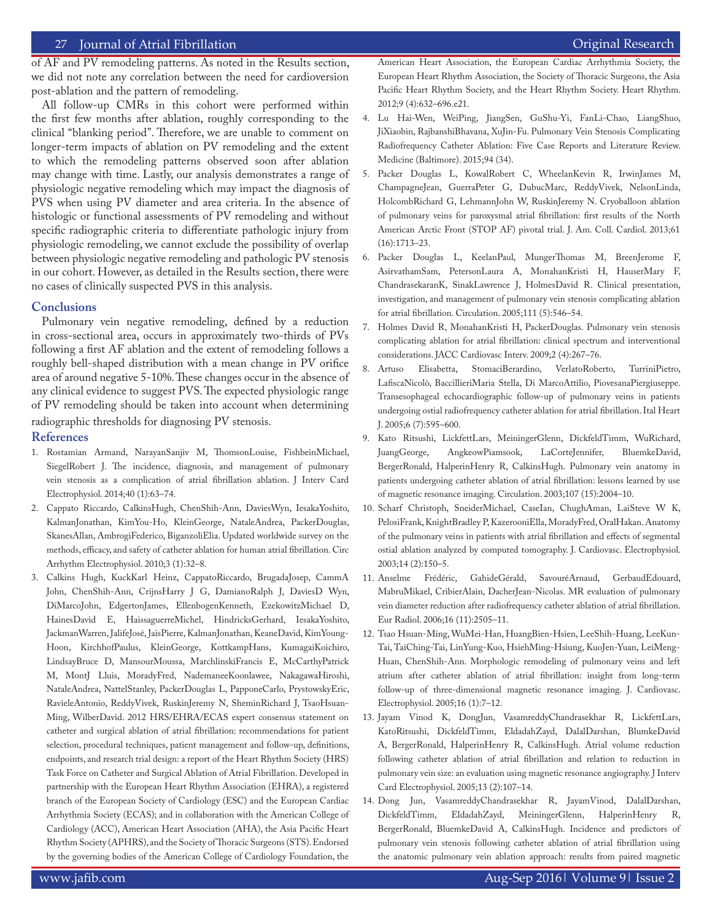# 27 Journal of Atrial Fibrillation **Community Community** Community Community Community Community Community Community

of AF and PV remodeling patterns. As noted in the Results section, we did not note any correlation between the need for cardioversion post-ablation and the pattern of remodeling.

All follow-up CMRs in this cohort were performed within the first few months after ablation, roughly corresponding to the clinical "blanking period". Therefore, we are unable to comment on longer-term impacts of ablation on PV remodeling and the extent to which the remodeling patterns observed soon after ablation may change with time. Lastly, our analysis demonstrates a range of physiologic negative remodeling which may impact the diagnosis of PVS when using PV diameter and area criteria. In the absence of histologic or functional assessments of PV remodeling and without specific radiographic criteria to differentiate pathologic injury from physiologic remodeling, we cannot exclude the possibility of overlap between physiologic negative remodeling and pathologic PV stenosis in our cohort. However, as detailed in the Results section, there were no cases of clinically suspected PVS in this analysis.

## **Conclusions**

Pulmonary vein negative remodeling, defined by a reduction in cross-sectional area, occurs in approximately two-thirds of PVs following a first AF ablation and the extent of remodeling follows a roughly bell-shaped distribution with a mean change in PV orifice area of around negative 5-10%. These changes occur in the absence of any clinical evidence to suggest PVS. The expected physiologic range of PV remodeling should be taken into account when determining

radiographic thresholds for diagnosing PV stenosis.

### **References**

- 1. Rostamian Armand, NarayanSanjiv M, ThomsonLouise, FishbeinMichael, SiegelRobert J. The incidence, diagnosis, and management of pulmonary vein stenosis as a complication of atrial fibrillation ablation. J Interv Card Electrophysiol. 2014;40 (1):63–74.
- 2. Cappato Riccardo, CalkinsHugh, ChenShih-Ann, DaviesWyn, IesakaYoshito, KalmanJonathan, KimYou-Ho, KleinGeorge, NataleAndrea, PackerDouglas, SkanesAllan, AmbrogiFederico, BiganzoliElia. Updated worldwide survey on the methods, efficacy, and safety of catheter ablation for human atrial fibrillation. Circ Arrhythm Electrophysiol. 2010;3 (1):32–8.
- 3. Calkins Hugh, KuckKarl Heinz, CappatoRiccardo, BrugadaJosep, CammA John, ChenShih-Ann, CrijnsHarry J G, DamianoRalph J, DaviesD Wyn, DiMarcoJohn, EdgertonJames, EllenbogenKenneth, EzekowitzMichael D, HainesDavid E, HaissaguerreMichel, HindricksGerhard, IesakaYoshito, JackmanWarren, JalifeJosé, JaisPierre, KalmanJonathan, KeaneDavid, KimYoung-Hoon, KirchhofPaulus, KleinGeorge, KottkampHans, KumagaiKoichiro, LindsayBruce D, MansourMoussa, MarchlinskiFrancis E, McCarthyPatrick M, MontJ Lluis, MoradyFred, NademaneeKoonlawee, NakagawaHiroshi, NataleAndrea, NattelStanley, PackerDouglas L, PapponeCarlo, PrystowskyEric, RavieleAntonio, ReddyVivek, RuskinJeremy N, SheminRichard J, TsaoHsuan-Ming, WilberDavid. 2012 HRS/EHRA/ECAS expert consensus statement on catheter and surgical ablation of atrial fibrillation: recommendations for patient selection, procedural techniques, patient management and follow-up, definitions, endpoints, and research trial design: a report of the Heart Rhythm Society (HRS) Task Force on Catheter and Surgical Ablation of Atrial Fibrillation. Developed in partnership with the European Heart Rhythm Association (EHRA), a registered branch of the European Society of Cardiology (ESC) and the European Cardiac Arrhythmia Society (ECAS); and in collaboration with the American College of Cardiology (ACC), American Heart Association (AHA), the Asia Pacific Heart Rhythm Society (APHRS), and the Society of Thoracic Surgeons (STS). Endorsed by the governing bodies of the American College of Cardiology Foundation, the

American Heart Association, the European Cardiac Arrhythmia Society, the European Heart Rhythm Association, the Society of Thoracic Surgeons, the Asia Pacific Heart Rhythm Society, and the Heart Rhythm Society. Heart Rhythm. 2012;9 (4):632–696.e21.

- 4. Lu Hai-Wen, WeiPing, JiangSen, GuShu-Yi, FanLi-Chao, LiangShuo, JiXiaobin, RajbanshiBhavana, XuJin-Fu. Pulmonary Vein Stenosis Complicating Radiofrequency Catheter Ablation: Five Case Reports and Literature Review. Medicine (Baltimore). 2015;94 (34).
- 5. Packer Douglas L, KowalRobert C, WheelanKevin R, IrwinJames M, ChampagneJean, GuerraPeter G, DubucMarc, ReddyVivek, NelsonLinda, HolcombRichard G, LehmannJohn W, RuskinJeremy N. Cryoballoon ablation of pulmonary veins for paroxysmal atrial fibrillation: first results of the North American Arctic Front (STOP AF) pivotal trial. J. Am. Coll. Cardiol. 2013;61 (16):1713–23.
- 6. Packer Douglas L, KeelanPaul, MungerThomas M, BreenJerome F, AsirvathamSam, PetersonLaura A, MonahanKristi H, HauserMary F, ChandrasekaranK, SinakLawrence J, HolmesDavid R. Clinical presentation, investigation, and management of pulmonary vein stenosis complicating ablation for atrial fibrillation. Circulation. 2005;111 (5):546–54.
- 7. Holmes David R, MonahanKristi H, PackerDouglas. Pulmonary vein stenosis complicating ablation for atrial fibrillation: clinical spectrum and interventional considerations. JACC Cardiovasc Interv. 2009;2 (4):267–76.
- 8. Artuso Elisabetta, StomaciBerardino, VerlatoRoberto, TurriniPietro, LafiscaNicolò, BaccillieriMaria Stella, Di MarcoAttilio, PiovesanaPiergiuseppe. Transesophageal echocardiographic follow-up of pulmonary veins in patients undergoing ostial radiofrequency catheter ablation for atrial fibrillation. Ital Heart J. 2005;6 (7):595–600.
- 9. Kato Ritsushi, LickfettLars, MeiningerGlenn, DickfeldTimm, WuRichard, JuangGeorge, AngkeowPiamsook, LaCorteJennifer, BluemkeDavid, BergerRonald, HalperinHenry R, CalkinsHugh. Pulmonary vein anatomy in patients undergoing catheter ablation of atrial fibrillation: lessons learned by use of magnetic resonance imaging. Circulation. 2003;107 (15):2004–10.
- 10. Scharf Christoph, SneiderMichael, CaseIan, ChughAman, LaiSteve W K, PelosiFrank, KnightBradley P, KazerooniElla, MoradyFred, OralHakan. Anatomy of the pulmonary veins in patients with atrial fibrillation and effects of segmental ostial ablation analyzed by computed tomography. J. Cardiovasc. Electrophysiol. 2003;14 (2):150–5.
- 11. Anselme Frédéric, GahideGérald, SavouréArnaud, GerbaudEdouard, MabruMikael, CribierAlain, DacherJean-Nicolas. MR evaluation of pulmonary vein diameter reduction after radiofrequency catheter ablation of atrial fibrillation. Eur Radiol. 2006;16 (11):2505–11.
- 12. Tsao Hsuan-Ming, WuMei-Han, HuangBien-Hsien, LeeShih-Huang, LeeKun-Tai, TaiChing-Tai, LinYung-Kuo, HsiehMing-Hsiung, KuoJen-Yuan, LeiMeng-Huan, ChenShih-Ann. Morphologic remodeling of pulmonary veins and left atrium after catheter ablation of atrial fibrillation: insight from long-term follow-up of three-dimensional magnetic resonance imaging. J. Cardiovasc. Electrophysiol. 2005;16 (1):7–12.
- 13. Jayam Vinod K, DongJun, VasamreddyChandrasekhar R, LickfettLars, KatoRitsushi, DickfeldTimm, EldadahZayd, DalalDarshan, BlumkeDavid A, BergerRonald, HalperinHenry R, CalkinsHugh. Atrial volume reduction following catheter ablation of atrial fibrillation and relation to reduction in pulmonary vein size: an evaluation using magnetic resonance angiography. J Interv Card Electrophysiol. 2005;13 (2):107–14.
- 14. Dong Jun, VasamreddyChandrasekhar R, JayamVinod, DalalDarshan, DickfeldTimm, EldadahZayd, MeiningerGlenn, HalperinHenry BergerRonald, BluemkeDavid A, CalkinsHugh. Incidence and predictors of pulmonary vein stenosis following catheter ablation of atrial fibrillation using the anatomic pulmonary vein ablation approach: results from paired magnetic